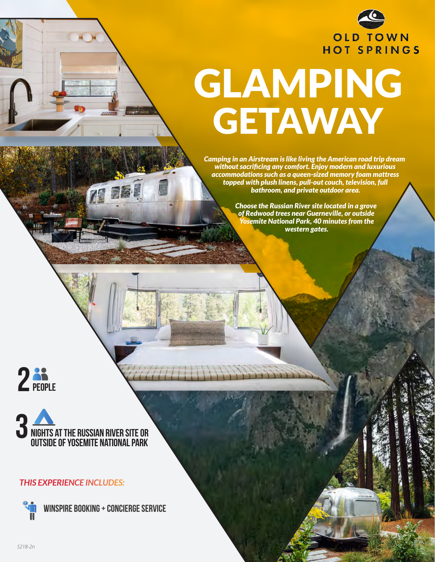

# GLAMPING **GETAWAY**

*Camping in an Airstream is like living the American road trip dream without sacrificing any comfort. Enjoy modern and luxurious accommodations such as a queen-sized memory foam mattress topped with plush linens, pull-out couch, television, full bathroom, and private outdoor area.* 

> *Choose the Russian River site located in a grove of Redwood trees near Guerneville, or outside Yosemite National Park, 40 minutes from the western gates.*





#### *THIS EXPERIENCE INCLUDES:*

**Winspire Booking + concierge service**